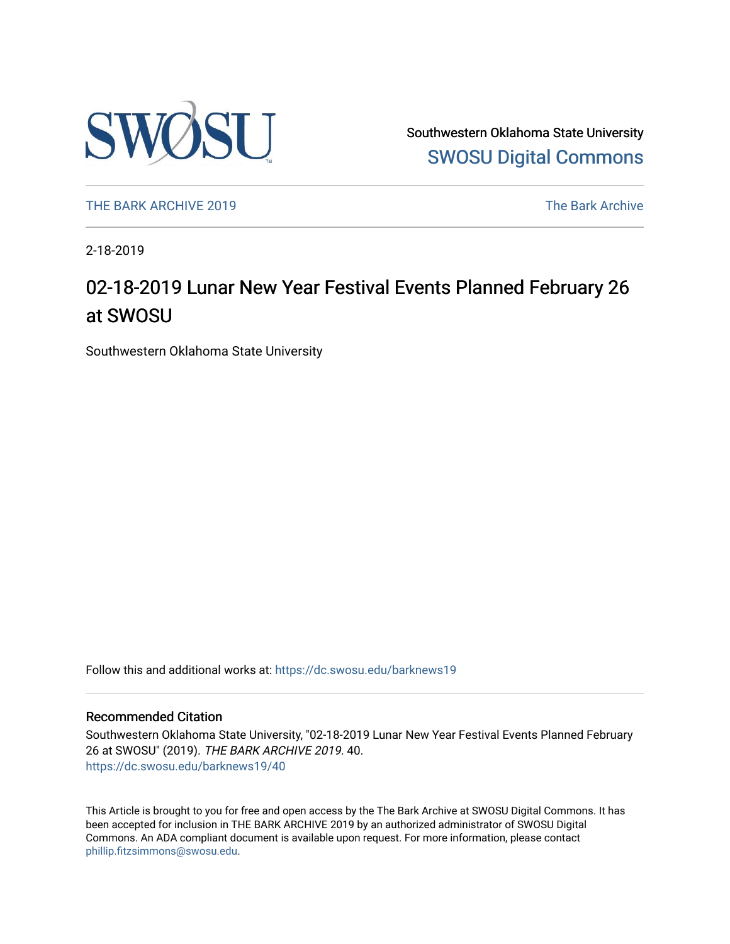

Southwestern Oklahoma State University [SWOSU Digital Commons](https://dc.swosu.edu/) 

[THE BARK ARCHIVE 2019](https://dc.swosu.edu/barknews19) The Bark Archive

2-18-2019

## 02-18-2019 Lunar New Year Festival Events Planned February 26 at SWOSU

Southwestern Oklahoma State University

Follow this and additional works at: [https://dc.swosu.edu/barknews19](https://dc.swosu.edu/barknews19?utm_source=dc.swosu.edu%2Fbarknews19%2F40&utm_medium=PDF&utm_campaign=PDFCoverPages)

#### Recommended Citation

Southwestern Oklahoma State University, "02-18-2019 Lunar New Year Festival Events Planned February 26 at SWOSU" (2019). THE BARK ARCHIVE 2019. 40. [https://dc.swosu.edu/barknews19/40](https://dc.swosu.edu/barknews19/40?utm_source=dc.swosu.edu%2Fbarknews19%2F40&utm_medium=PDF&utm_campaign=PDFCoverPages) 

This Article is brought to you for free and open access by the The Bark Archive at SWOSU Digital Commons. It has been accepted for inclusion in THE BARK ARCHIVE 2019 by an authorized administrator of SWOSU Digital Commons. An ADA compliant document is available upon request. For more information, please contact [phillip.fitzsimmons@swosu.edu](mailto:phillip.fitzsimmons@swosu.edu).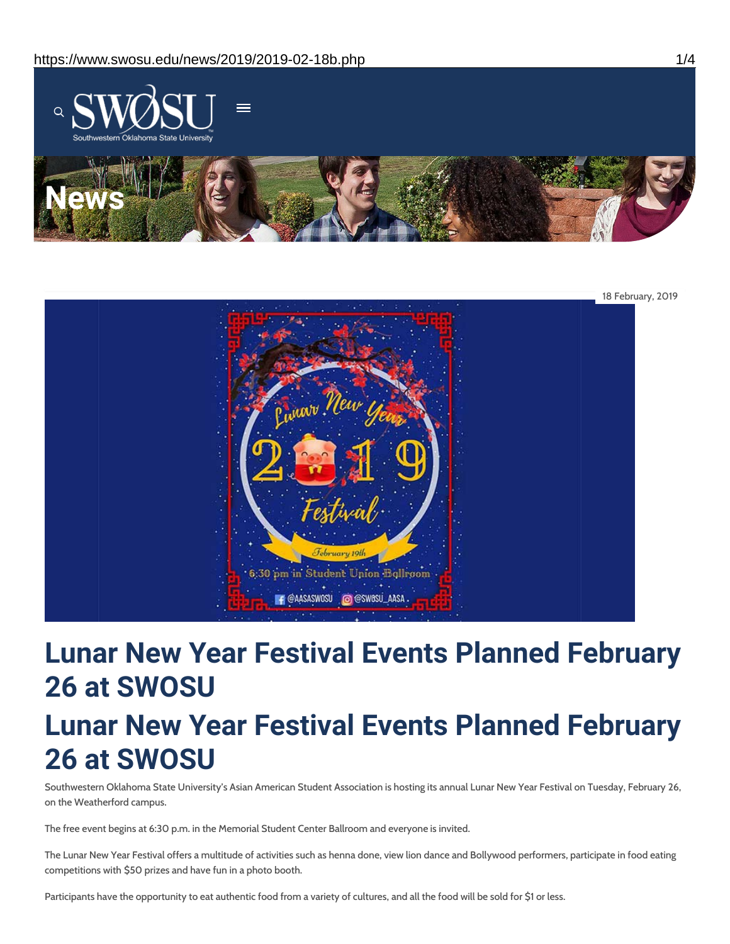



# **Lunar New Year Festival Events Planned February 26 at SWOSU Lunar New Year Festival Events Planned February 26 at SWOSU**

Southwestern Oklahoma State University's Asian American Student Association is hosting its annual Lunar New Year Festival on Tuesday, February 26, on the Weatherford campus.

The free event begins at 6:30 p.m. in the Memorial Student Center Ballroom and everyone is invited.

The Lunar New Year Festival offers a multitude of activities such as henna done, view lion dance and Bollywood performers, participate in food eating competitions with \$50 prizes and have fun in a photo booth.

Participants have the opportunity to eat authentic food from a variety of cultures, and all the food will be sold for \$1 or less.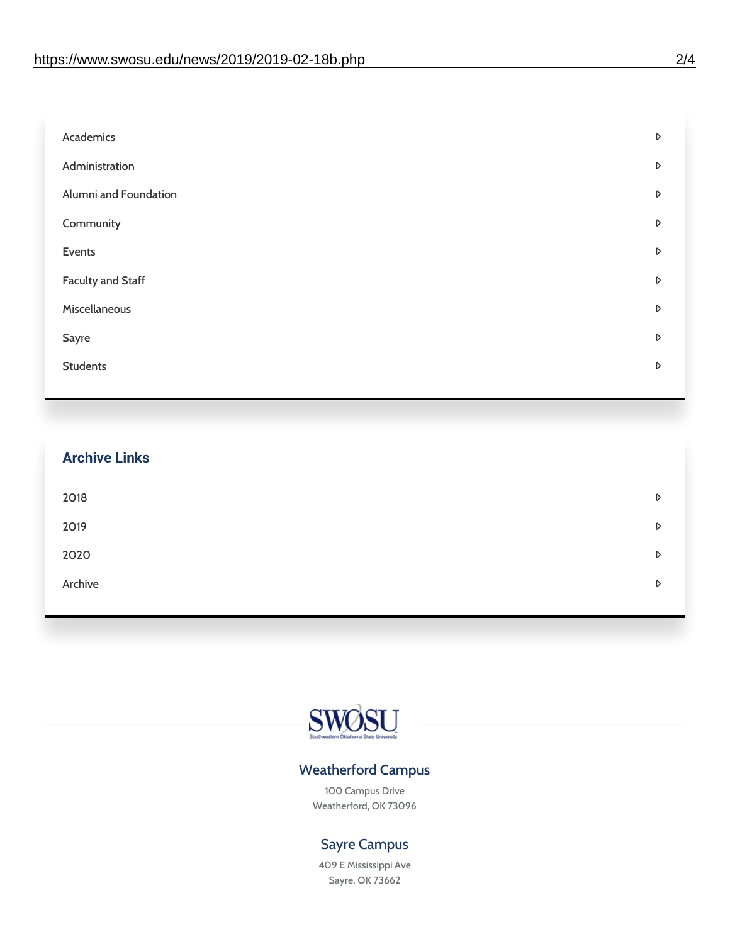| Academics                | D |
|--------------------------|---|
| Administration           | D |
| Alumni and Foundation    | D |
| Community                | D |
| Events                   | D |
| <b>Faculty and Staff</b> | D |
| Miscellaneous            | D |
| Sayre                    | D |
| <b>Students</b>          | D |
|                          |   |

| <b>Archive Links</b> |   |
|----------------------|---|
| 2018                 | D |
| 2019                 | D |
| 2020                 | D |
| Archive              | D |
|                      |   |



### Weatherford Campus

100 Campus Drive Weatherford, OK 73096

### Sayre Campus

409 E Mississippi Ave Sayre, OK 73662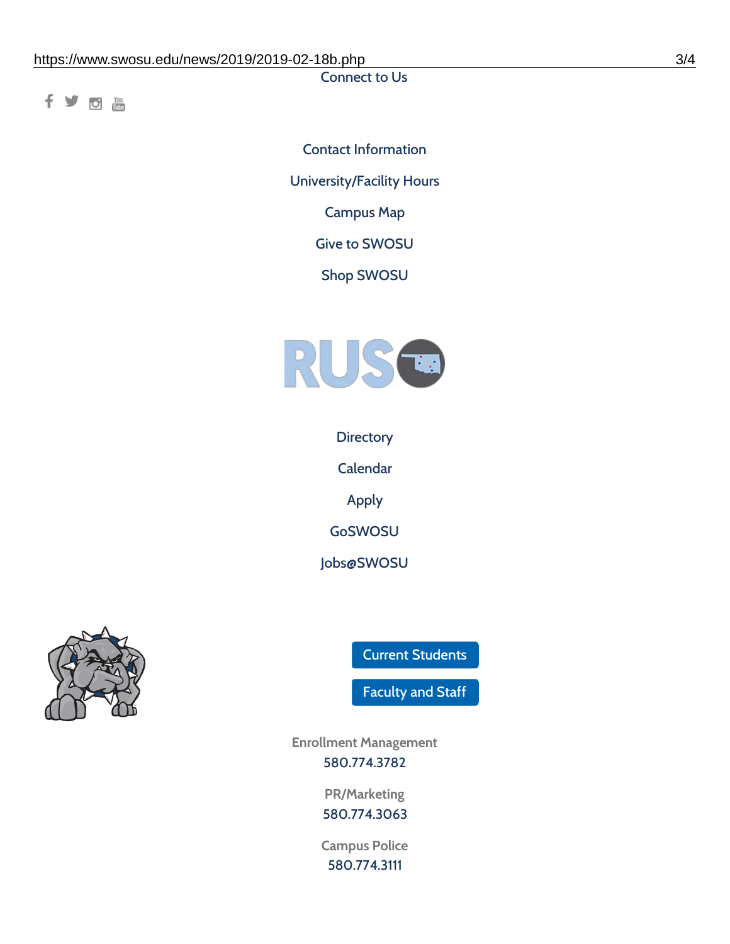Connect to Us

fyom

Contact [Information](https://www.swosu.edu/about/contact.php) [University/Facility](https://www.swosu.edu/about/operating-hours.php) Hours [Campus](https://map.concept3d.com/?id=768#!ct/10964,10214,10213,10212,10205,10204,10203,10202,10136,10129,10128,0,31226,10130,10201,10641,0) Map Give to [SWOSU](https://standingfirmly.com/donate) Shop [SWOSU](https://shopswosu.merchorders.com/)



**[Directory](https://www.swosu.edu/directory/index.php)** 

[Calendar](https://eventpublisher.dudesolutions.com/swosu/)

[Apply](https://www.swosu.edu/admissions/apply-to-swosu.php)

[GoSWOSU](https://qlsso.quicklaunchsso.com/home/1267)

[Jobs@SWOSU](https://swosu.csod.com/ux/ats/careersite/1/home?c=swosu)



Current [Students](https://bulldog.swosu.edu/index.php)

[Faculty](https://bulldog.swosu.edu/faculty-staff/index.php) and Staff

**Enrollment Management** [580.774.3782](tel:5807743782)

> **PR/Marketing** [580.774.3063](tel:5807743063)

**Campus Police** [580.774.3111](tel:5807743111)